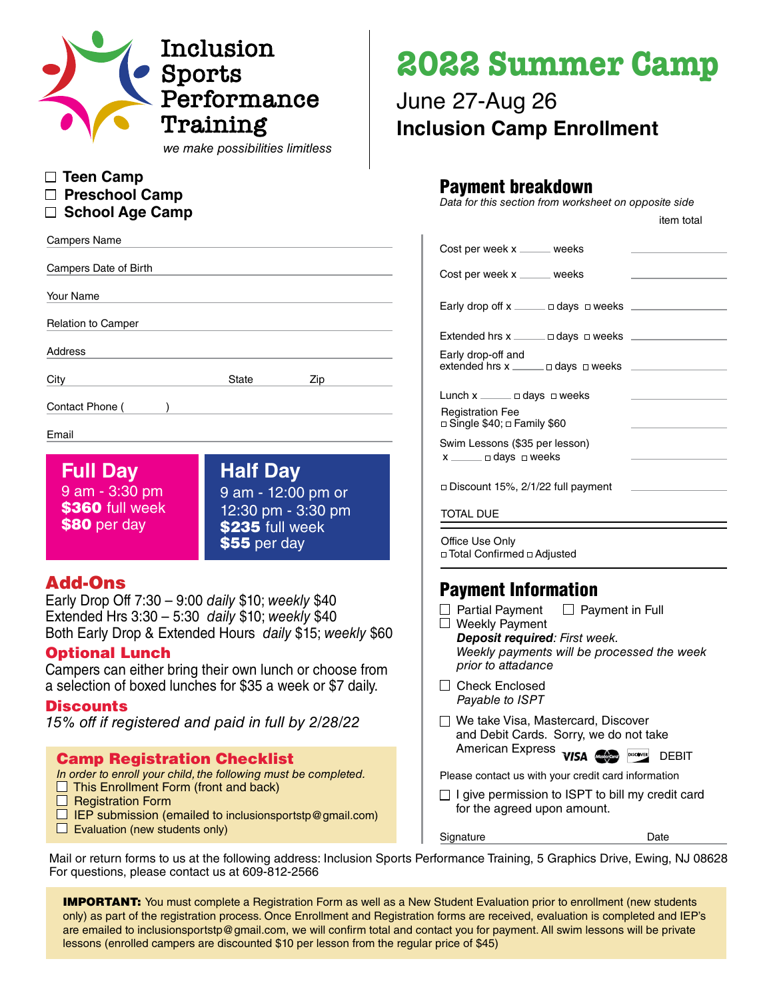

*we make possibilities limitless*

- **Teen Camp**
- **Preschool Camp**
- **School Age Camp**

| <b>Campers Name</b>       |              |     |  |  |  |  |  |
|---------------------------|--------------|-----|--|--|--|--|--|
| Campers Date of Birth     |              |     |  |  |  |  |  |
| Your Name                 |              |     |  |  |  |  |  |
| <b>Relation to Camper</b> |              |     |  |  |  |  |  |
| Address                   |              |     |  |  |  |  |  |
| City                      | <b>State</b> | Zip |  |  |  |  |  |
| Contact Phone (           |              |     |  |  |  |  |  |

#### Email

**Full Day** 9 am - 3:30 pm \$360 full week \$80 per day

**Half Day** 9 am - 12:00 pm or 12:30 pm - 3:30 pm \$235 full week \$55 per day

### Add-Ons

Early Drop Off 7:30 – 9:00 *daily* \$10; *weekly* \$40 Extended Hrs 3:30 – 5:30 *daily* \$10; *weekly* \$40 Both Early Drop & Extended Hours *daily* \$15; *weekly* \$60

### Optional Lunch

Campers can either bring their own lunch or choose from a selection of boxed lunches for \$35 a week or \$7 daily.

#### **Discounts**

*15% off if registered and paid in full by 2/28/22*

### Camp Registration Checklist

*In order to enroll your child, the following must be completed.*

- $\Box$  This Enrollment Form (front and back)
- $\Box$  Registration Form
- $\Box$  IEP submission (emailed to inclusionsportstp@gmail.com)
- $\Box$  Evaluation (new students only)

# **2022 Summer Camp**

# June 27-Aug 26 **Inclusion Camp Enrollment**

# Payment breakdown

*Data for this section from worksheet on opposite side*

|                                                                  | Cost per week x _____ weeks                               |  |  |  |  |  |
|------------------------------------------------------------------|-----------------------------------------------------------|--|--|--|--|--|
|                                                                  | Cost per week x _____ weeks                               |  |  |  |  |  |
|                                                                  | Early drop off $x \equiv 0$ days $\Box$ weeks             |  |  |  |  |  |
|                                                                  | $Extended hrs x$ $\_\_$ $\_\_$ $\_\_$ $\_\_$ weeks $\_\_$ |  |  |  |  |  |
|                                                                  | Early drop-off and                                        |  |  |  |  |  |
|                                                                  | Lunch $x \equiv 0$ days $\Box$ weeks                      |  |  |  |  |  |
| <b>Registration Fee</b><br>□ Single \$40; □ Family \$60          |                                                           |  |  |  |  |  |
| Swim Lessons (\$35 per lesson)<br>$x \equiv 0$ days $\Box$ weeks |                                                           |  |  |  |  |  |
| □ Discount 15%, 2/1/22 full payment                              |                                                           |  |  |  |  |  |
| TOTAL DUE                                                        |                                                           |  |  |  |  |  |
|                                                                  | Office Use Only<br>□ Total Confirmed □ Adjusted           |  |  |  |  |  |

# Payment Information

- $\Box$  Partial Payment  $\Box$  Payment in Full □ Weekly Payment  *Deposit required: First week. Weekly payments will be processed the week prior to attadance*
- □ Check Enclosed *Payable to ISPT*
- □ We take Visa, Mastercard, Discover and Debit Cards. Sorry, we do not take American Express **VISA CONSCRUTER DEBIT**

Please contact us with your credit card information

Signature Date

 $\Box$  I give permission to ISPT to bill my credit card for the agreed upon amount.

Mail or return forms to us at the following address: Inclusion Sports Performance Training, 5 Graphics Drive, Ewing, NJ 08628 For questions, please contact us at 609-812-2566

**IMPORTANT:** You must complete a Registration Form as well as a New Student Evaluation prior to enrollment (new students only) as part of the registration process. Once Enrollment and Registration forms are received, evaluation is completed and IEP's are emailed to inclusionsportstp@gmail.com, we will confirm total and contact you for payment. All swim lessons will be private lessons (enrolled campers are discounted \$10 per lesson from the regular price of \$45)